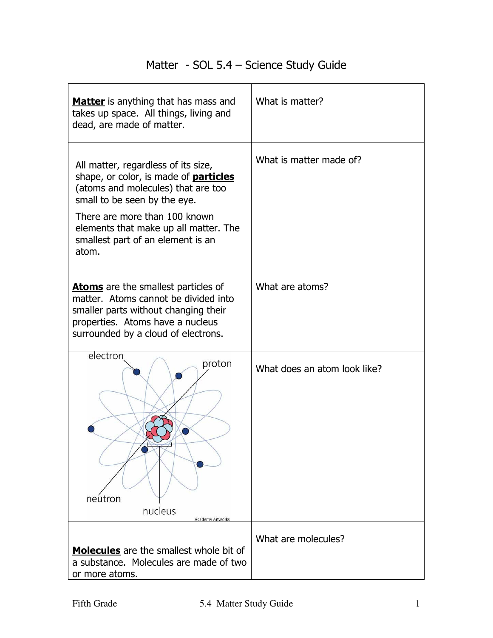## Matter - SOL 5.4 – Science Study Guide

| <b>Matter</b> is anything that has mass and<br>takes up space. All things, living and<br>dead, are made of matter.                                                                                                                                                                | What is matter?              |
|-----------------------------------------------------------------------------------------------------------------------------------------------------------------------------------------------------------------------------------------------------------------------------------|------------------------------|
| All matter, regardless of its size,<br>shape, or color, is made of <b>particles</b><br>(atoms and molecules) that are too<br>small to be seen by the eye.<br>There are more than 100 known<br>elements that make up all matter. The<br>smallest part of an element is an<br>atom. | What is matter made of?      |
| <b>Atoms</b> are the smallest particles of<br>matter. Atoms cannot be divided into<br>smaller parts without changing their<br>properties. Atoms have a nucleus<br>surrounded by a cloud of electrons.                                                                             | What are atoms?              |
| electron<br>proton<br>neutron<br>nucleus<br>Academy Artwork                                                                                                                                                                                                                       | What does an atom look like? |
| Molecules are the smallest whole bit of<br>a substance. Molecules are made of two<br>or more atoms.                                                                                                                                                                               | What are molecules?          |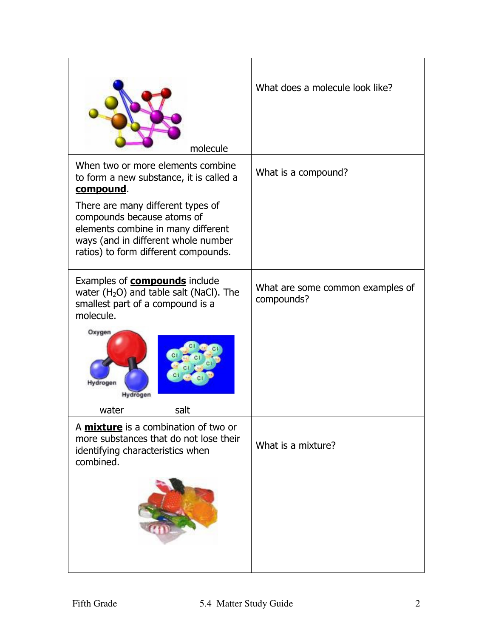| molecule                                                                                                                                                                             | What does a molecule look like?                |
|--------------------------------------------------------------------------------------------------------------------------------------------------------------------------------------|------------------------------------------------|
| When two or more elements combine<br>to form a new substance, it is called a<br>compound.                                                                                            | What is a compound?                            |
| There are many different types of<br>compounds because atoms of<br>elements combine in many different<br>ways (and in different whole number<br>ratios) to form different compounds. |                                                |
| Examples of <b>compounds</b> include<br>water $(H2O)$ and table salt (NaCl). The<br>smallest part of a compound is a<br>molecule.                                                    | What are some common examples of<br>compounds? |
| Oxygen<br>drogen<br>Hydrogen                                                                                                                                                         |                                                |
| water<br>salt                                                                                                                                                                        |                                                |
| A <i>mixture</i> is a combination of two or<br>more substances that do not lose their<br>identifying characteristics when<br>combined.                                               | What is a mixture?                             |
|                                                                                                                                                                                      |                                                |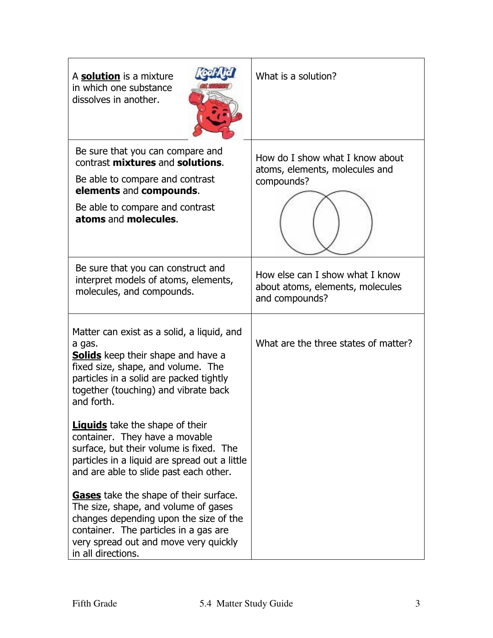| A solution is a mixture<br>in which one substance<br>dissolves in another.                                                                                                                                                               | What is a solution?                                                                   |
|------------------------------------------------------------------------------------------------------------------------------------------------------------------------------------------------------------------------------------------|---------------------------------------------------------------------------------------|
| Be sure that you can compare and<br>contrast mixtures and solutions.<br>Be able to compare and contrast<br>elements and compounds.<br>Be able to compare and contrast<br>atoms and molecules.                                            | How do I show what I know about<br>atoms, elements, molecules and<br>compounds?       |
| Be sure that you can construct and<br>interpret models of atoms, elements,<br>molecules, and compounds.                                                                                                                                  | How else can I show what I know<br>about atoms, elements, molecules<br>and compounds? |
| Matter can exist as a solid, a liquid, and<br>a gas.<br><b>Solids</b> keep their shape and have a<br>fixed size, shape, and volume. The<br>particles in a solid are packed tightly<br>together (touching) and vibrate back<br>and forth. | What are the three states of matter?                                                  |
| <b>Liquids</b> take the shape of their<br>container. They have a movable<br>surface, but their volume is fixed. The<br>particles in a liquid are spread out a little<br>and are able to slide past each other.                           |                                                                                       |
| Gases take the shape of their surface.<br>The size, shape, and volume of gases<br>changes depending upon the size of the<br>container. The particles in a gas are<br>very spread out and move very quickly<br>in all directions.         |                                                                                       |